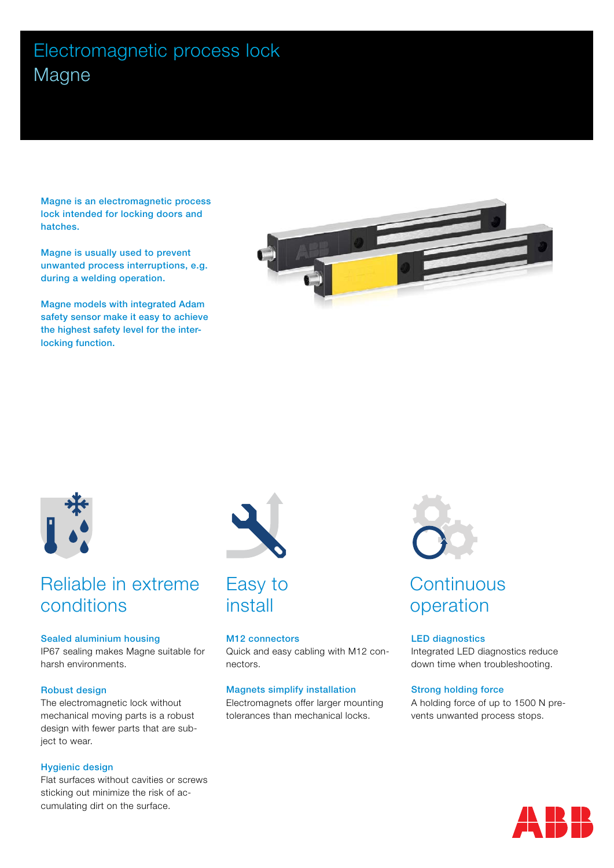# Electromagnetic process lock Magne

Magne is an electromagnetic process lock intended for locking doors and hatches.

Magne is usually used to prevent unwanted process interruptions, e.g. during a welding operation.

Magne models with integrated Adam safety sensor make it easy to achieve the highest safety level for the interlocking function.





# Reliable in extreme conditions

#### Sealed aluminium housing

IP67 sealing makes Magne suitable for harsh environments.

#### Robust design

The electromagnetic lock without mechanical moving parts is a robust design with fewer parts that are subject to wear.

#### Hygienic design

Flat surfaces without cavities or screws sticking out minimize the risk of accumulating dirt on the surface.





#### M12 connectors

Quick and easy cabling with M12 connectors.

#### Magnets simplify installation

Electromagnets offer larger mounting tolerances than mechanical locks.



# **Continuous** operation

#### LED diagnostics

Integrated LED diagnostics reduce down time when troubleshooting.

#### Strong holding force

A holding force of up to 1500 N prevents unwanted process stops.

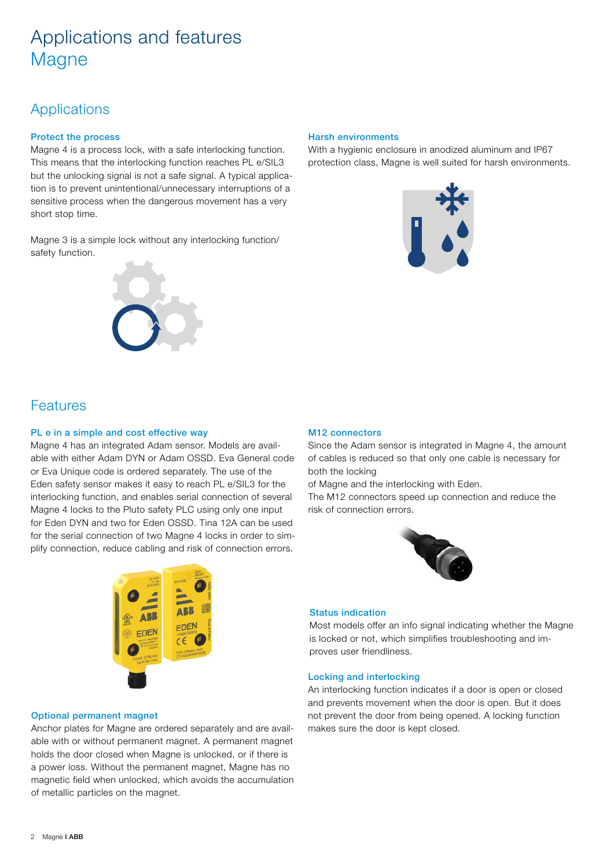# Applications and features **Magne**

## **Applications**

### Protect the process

Magne 4 is a process lock, with a safe interlocking function. This means that the interlocking function reaches PL e/SIL3 but the unlocking signal is not a safe signal. A typical application is to prevent unintentional/unnecessary interruptions of a sensitive process when the dangerous movement has a very short stop time.

Magne 3 is a simple lock without any interlocking function/ safety function.



### Harsh environments

With a hygienic enclosure in anodized aluminum and IP67 protection class, Magne is well suited for harsh environments.



## Features

#### PL e in a simple and cost effective way

Magne 4 has an integrated Adam sensor. Models are available with either Adam DYN or Adam OSSD. Eva General code or Eva Unique code is ordered separately. The use of the Eden safety sensor makes it easy to reach PL e/SIL3 for the interlocking function, and enables serial connection of several Magne 4 locks to the Pluto safety PLC using only one input for Eden DYN and two for Eden OSSD. Tina 12A can be used for the serial connection of two Magne 4 locks in order to simplify connection, reduce cabling and risk of connection errors.



#### M12 connectors

Since the Adam sensor is integrated in Magne 4, the amount of cables is reduced so that only one cable is necessary for both the locking

of Magne and the interlocking with Eden.

The M12 connectors speed up connection and reduce the risk of connection errors.



#### Status indication

Most models offer an info signal indicating whether the Magne is locked or not, which simplifies troubleshooting and improves user friendliness.

#### Locking and interlocking

An interlocking function indicates if a door is open or closed and prevents movement when the door is open. But it does not prevent the door from being opened. A locking function makes sure the door is kept closed.

#### Optional permanent magnet

Anchor plates for Magne are ordered separately and are available with or without permanent magnet. A permanent magnet holds the door closed when Magne is unlocked, or if there is a power loss. Without the permanent magnet, Magne has no magnetic field when unlocked, which avoids the accumulation of metallic particles on the magnet.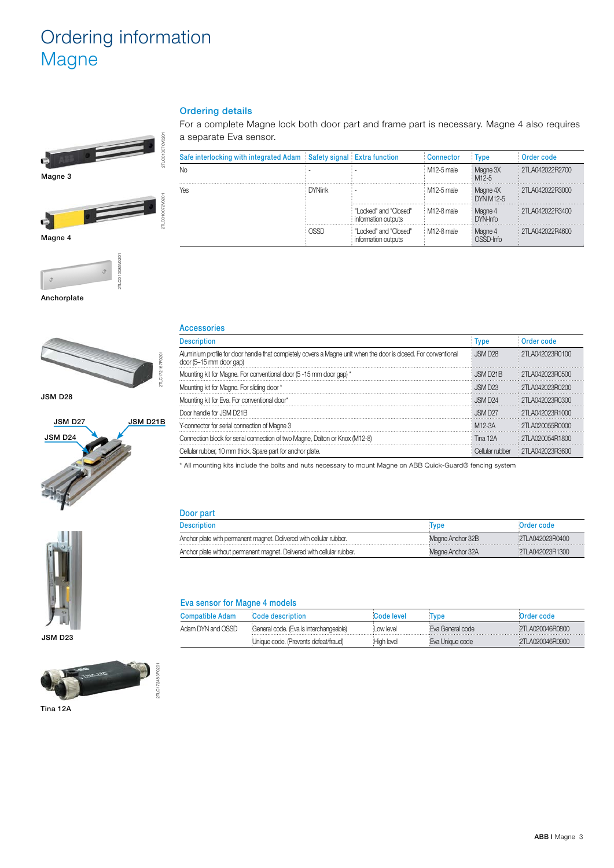# Ordering information **Magne**



Magne 3



2TLC010085V0201



Anchorplate



JSM D28



### Ordering details

For a complete Magne lock both door part and frame part is necessary. Magne 4 also requires a separate Eva sensor.

| Safe interlocking with integrated Adam Safety signal Extra function |                |                                              | Connector      | <b>Type</b>           | Order code      |
|---------------------------------------------------------------------|----------------|----------------------------------------------|----------------|-----------------------|-----------------|
| Νo                                                                  |                |                                              | $M12-5$ male   | Magne 3X<br>$M12-5$   | 2TLA042022R2700 |
| Yes                                                                 | <b>DYNlink</b> |                                              | $: M12-5$ male | Magne 4X<br>DYN M12-5 | 2TLA042022R3000 |
|                                                                     |                | Locked" and "Closed"<br>information outputs  | $M12-8$ male   | Magne 4<br>$DYN-InfO$ | 2TLA042022R3400 |
|                                                                     | <b>NSSD</b>    | "Locked" and "Closed"<br>information outputs | $M12-8$ male   | Magne 4<br>OSSD-Info  | 2TLA042022R4600 |

| <b>Accessories</b>                                                                                                                         |                       |                    |
|--------------------------------------------------------------------------------------------------------------------------------------------|-----------------------|--------------------|
| <b>Description</b>                                                                                                                         | <b>Type</b>           | Order code         |
| Aluminium profile for door handle that completely covers a Magne unit when the door is closed. For conventional<br>door (5-15 mm door gap) | JSM D <sub>28</sub>   | : 2TI A042023R0100 |
| Mounting kit for Magne. For conventional door (5 -15 mm door gap) *                                                                        | JSM D <sub>21</sub> B | 2TLA042023R0500    |
| Mounting kit for Magne. For sliding door *                                                                                                 | . ISM D23             | : 2TI A042023R0200 |
| Mounting kit for Eva. For conventional door*                                                                                               | JSM D24               | : 2TI A042023B0300 |
| Door handle for JSM D21B                                                                                                                   | JSM D27               | : 2TI A042023R1000 |
| Y-connector for serial connection of Magne 3                                                                                               | M <sub>12-3</sub> A   | 2TI A020055B0000   |
| Connection block for serial connection of two Magne, Dalton or Knox (M12-8)                                                                | Tina 12A              | 2TLA020054R1800    |
| Cellular rubber, 10 mm thick. Spare part for anchor plate.                                                                                 | Cellular rubber       | 2TLA042023R3600    |

| i<br>ī |  |
|--------|--|
|        |  |
|        |  |

JSM D23



Tina 12A

| <b>ACCESSOFIES</b>                                                                                                                                                                                                             |                         |                        |  |  |
|--------------------------------------------------------------------------------------------------------------------------------------------------------------------------------------------------------------------------------|-------------------------|------------------------|--|--|
| <b>Description</b>                                                                                                                                                                                                             | <b>Type</b>             | Order code             |  |  |
| Aluminium profile for door handle that completely covers a Magne unit when the door is closed. For conventional<br>door (5-15 mm door gap)                                                                                     | JSM D <sub>28</sub>     | 2TLA042023R0100        |  |  |
| Mounting kit for Magne. For conventional door (5 -15 mm door gap) *                                                                                                                                                            | $\therefore$ ISM D21B   | 2TI A042023R0500       |  |  |
| Mounting kit for Magne. For sliding door *                                                                                                                                                                                     | JSM D <sub>23</sub>     | $\pm$ 2TI A042023R0200 |  |  |
| Mounting kit for Eva. For conventional door*                                                                                                                                                                                   | $\frac{1}{2}$ . ISM D24 | $: 2T1$ A042023R0300   |  |  |
| Door handle for JSM D21B                                                                                                                                                                                                       | $\therefore$ ISM D27    | 2TLA042023R1000        |  |  |
| Y-connector for serial connection of Magne 3                                                                                                                                                                                   | M12-3A                  | 2TLA020055R0000        |  |  |
| Connection block for serial connection of two Magne, Dalton or Knox (M12-8)                                                                                                                                                    | : Tina 12A              | 2TLA020054R1800        |  |  |
| Outlined and a series of the contract of the contract of the contract of the contract of the contract of the contract of the contract of the contract of the contract of the contract of the contract of the contract of the c |                         |                        |  |  |

\* All mounting kits include the bolts and nuts necessary to mount Magne on ABB Quick-Guard® fencing system

Description Type Order code Anchor plate with permanent magnet. Delivered with cellular rubber. Magne Anchor 32B 2TLA042023R0400 Anchor plate without permanent magnet. Delivered with cellular rubber. Magne Anchor 32A 2TLA042023R1300

Door part

| Eva sensor for Magne 4 models |                                        |            |                  |                 |  |
|-------------------------------|----------------------------------------|------------|------------------|-----------------|--|
| <b>Compatible Adam</b>        | Code description                       | Code level | Type             | Order code      |  |
| Adam DYN and OSSD             | General code. (Eva is interchangeable) | Low level  | Eva General code | 2TLA020046R0800 |  |
|                               | Unique code. (Prevents defeat/fraud)   | High level | Eva Unique code  | 2TLA020046R0900 |  |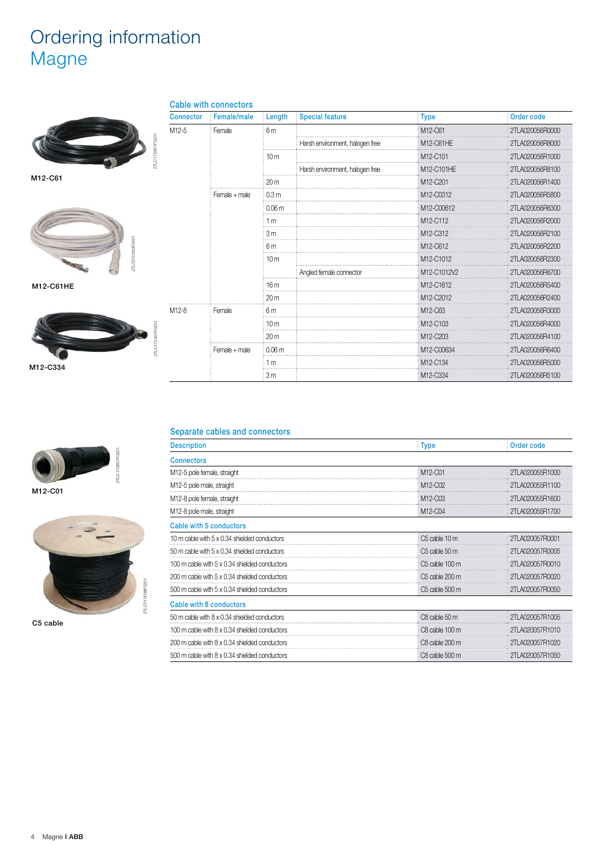# Ordering information Magne



M12-C61



M12-C61HE





M12-C01



C5 cable

### Cable with connectors

| <b>Connector</b>  | Female/male   | Length            | <b>Special feature</b>          | <b>Type</b>                       | Order code      |
|-------------------|---------------|-------------------|---------------------------------|-----------------------------------|-----------------|
| M12-5             | Female        | 6 m               |                                 | M12-C61                           | 2TLA020056R0000 |
|                   |               |                   | Harsh environment, halogen free | M12-C61HE                         | 2TLA020056R8000 |
|                   |               | 10 <sub>m</sub>   |                                 | M12-C101                          | 2TLA020056R1000 |
|                   |               |                   | Harsh environment, halogen free | M12-C101HE                        | 2TLA020056R8100 |
|                   |               | 20 <sub>m</sub>   |                                 | M12-C201                          | 2TLA020056R1400 |
|                   | Female + male | 0.3 <sub>m</sub>  |                                 | M12-C0312                         | 2TLA020056R5800 |
|                   |               | 0.06 <sub>m</sub> |                                 | M12-C00612                        | 2TLA020056R6300 |
|                   |               | 1 <sub>m</sub>    |                                 | M12-C112                          | 2TLA020056R2000 |
|                   |               | 3 <sub>m</sub>    |                                 | M12-C312                          | 2TLA020056R2100 |
|                   |               | 6m                |                                 | M12-C612                          | 2TLA020056R2200 |
|                   |               | 10 <sub>m</sub>   |                                 | M12-C1012                         | 2TLA020056R2300 |
|                   |               |                   | Angled female connector         | M12-C1012V2                       | 2TLA020056R6700 |
|                   |               | 16m               |                                 | M12-C1612                         | 2TLA020056R5400 |
|                   |               | 20 <sub>m</sub>   |                                 | M12-C2012                         | 2TLA020056R2400 |
| M <sub>12-8</sub> | Female        | 6 m               |                                 | M12-C63                           | 2TLA020056R3000 |
|                   |               | 10 <sub>m</sub>   |                                 | M12-C103                          | 2TLA020056R4000 |
|                   |               | 20 <sub>m</sub>   |                                 | M <sub>12</sub> -C <sub>203</sub> | 2TLA020056R4100 |
|                   | Female + male | 0.06 <sub>m</sub> |                                 | M12-C00634                        | 2TLA020056R6400 |
|                   |               | 1 <sub>m</sub>    |                                 | M12-C134                          | 2TLA020056R5000 |
|                   |               | 3 <sub>m</sub>    |                                 | M <sub>12</sub> -C <sub>334</sub> | 2TLA020056R5100 |

#### Separate cables and connectors

| <b>Description</b>                            | <b>Type</b>                      | Order code      |
|-----------------------------------------------|----------------------------------|-----------------|
| <b>Connectors</b>                             |                                  |                 |
| M12-5 pole female, straight                   | M12-C01                          | 2TLA020055R1000 |
| M12-5 pole male, straight                     | M <sub>12</sub> -C <sub>02</sub> | 2TLA020055R1100 |
| M12-8 pole female, straight                   | M12-C03                          | 2TLA020055R1600 |
| M12-8 pole male, straight                     | M12-C04                          | 2TLA020055R1700 |
| Cable with 5 conductors                       |                                  |                 |
| 10 m cable with 5 x 0.34 shielded conductors  | C5 cable 10 m                    | 2TLA020057R0001 |
| 50 m cable with 5 x 0.34 shielded conductors  | C <sub>5</sub> cable 50 m        | 2TLA020057R0005 |
| 100 m cable with 5 x 0.34 shielded conductors | C5 cable 100 m                   | 2TLA020057R0010 |
| 200 m cable with 5 x 0.34 shielded conductors | C5 cable 200 m                   | 2TLA020057R0020 |
| 500 m cable with 5 x 0.34 shielded conductors | C5 cable 500 m                   | 2TLA020057R0050 |
| Cable with 8 conductors                       |                                  |                 |
| 50 m cable with 8 x 0.34 shielded conductors  | C8 cable 50 m                    | 2TLA020057R1005 |
| 100 m cable with 8 x 0.34 shielded conductors | C8 cable 100 m                   | 2TLA020057R1010 |
| 200 m cable with 8 x 0.34 shielded conductors | C8 cable 200 m                   | 2TLA020057R1020 |
| 500 m cable with 8 x 0.34 shielded conductors | C8 cable 500 m                   | 2TLA020057R1050 |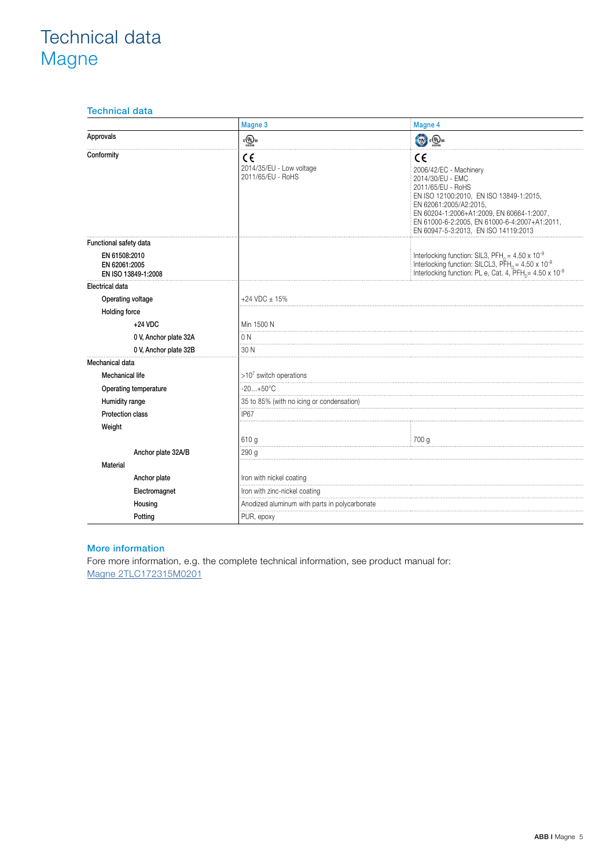# Technical data **Magne**

### Technical data

|                                                       | Magne 3                                             | Magne 4                                                                                                                                                                                                                                                                          |  |  |
|-------------------------------------------------------|-----------------------------------------------------|----------------------------------------------------------------------------------------------------------------------------------------------------------------------------------------------------------------------------------------------------------------------------------|--|--|
| Approvals                                             | $\frac{1}{\sqrt{10}}$                               | $\mathbb{R}$ $\mathbb{Q}$                                                                                                                                                                                                                                                        |  |  |
| Conformity                                            | c٤<br>2014/35/EU - Low voltage<br>2011/65/EU - RoHS | C€<br>2006/42/EC - Machinery<br>2014/30/EU - EMC<br>2011/65/EU - RoHS<br>EN ISO 12100:2010, EN ISO 13849-1:2015,<br>EN 62061:2005/A2:2015,<br>EN 60204-1:2006+A1:2009, EN 60664-1:2007,<br>EN 61000-6-2:2005, EN 61000-6-4:2007+A1:2011,<br>EN 60947-5-3:2013, EN ISO 14119:2013 |  |  |
| Functional safety data                                |                                                     |                                                                                                                                                                                                                                                                                  |  |  |
| EN 61508:2010<br>EN 62061:2005<br>EN ISO 13849-1:2008 |                                                     | Interlocking function: SIL3, PFH <sub>D</sub> = $4.50 \times 10^{-9}$<br>Interlocking function: SILCL3, PFH <sub>D</sub> = $4.50 \times 10^{-9}$<br>Interlocking function: PL e, Cat. 4, PFH <sub>p</sub> = 4.50 x 10 <sup>-9</sup>                                              |  |  |
| Electrical data                                       |                                                     |                                                                                                                                                                                                                                                                                  |  |  |
| Operating voltage                                     | $+24$ VDC $\pm$ 15%                                 |                                                                                                                                                                                                                                                                                  |  |  |
| <b>Holding force</b>                                  |                                                     |                                                                                                                                                                                                                                                                                  |  |  |
| $+24$ VDC                                             | Min 1500 N                                          |                                                                                                                                                                                                                                                                                  |  |  |
| 0 V, Anchor plate 32A                                 | 0 <sub>N</sub>                                      |                                                                                                                                                                                                                                                                                  |  |  |
| 0 V, Anchor plate 32B                                 | 30 N                                                |                                                                                                                                                                                                                                                                                  |  |  |
| Mechanical data                                       |                                                     |                                                                                                                                                                                                                                                                                  |  |  |
| <b>Mechanical life</b>                                | $>10^7$ switch operations                           |                                                                                                                                                                                                                                                                                  |  |  |
| Operating temperature                                 | $-20+50°C$                                          |                                                                                                                                                                                                                                                                                  |  |  |
| Humidity range                                        | 35 to 85% (with no icing or condensation)           |                                                                                                                                                                                                                                                                                  |  |  |
| <b>Protection class</b>                               | IP67                                                |                                                                                                                                                                                                                                                                                  |  |  |
| Weight                                                |                                                     |                                                                                                                                                                                                                                                                                  |  |  |
|                                                       | 610 g                                               | 700 g                                                                                                                                                                                                                                                                            |  |  |
| Anchor plate 32A/B                                    | 290 <sub>g</sub>                                    |                                                                                                                                                                                                                                                                                  |  |  |
| <b>Material</b>                                       |                                                     |                                                                                                                                                                                                                                                                                  |  |  |
| Anchor plate                                          | Iron with nickel coating                            |                                                                                                                                                                                                                                                                                  |  |  |
| Electromagnet                                         | Iron with zinc-nickel coating                       |                                                                                                                                                                                                                                                                                  |  |  |
| Housing                                               |                                                     | Anodized aluminum with parts in polycarbonate                                                                                                                                                                                                                                    |  |  |
| Potting                                               | PUR, epoxy                                          |                                                                                                                                                                                                                                                                                  |  |  |

### More information

Fore more information, e.g. the complete technical information, see product manual for: Magne 2TLC172315M0201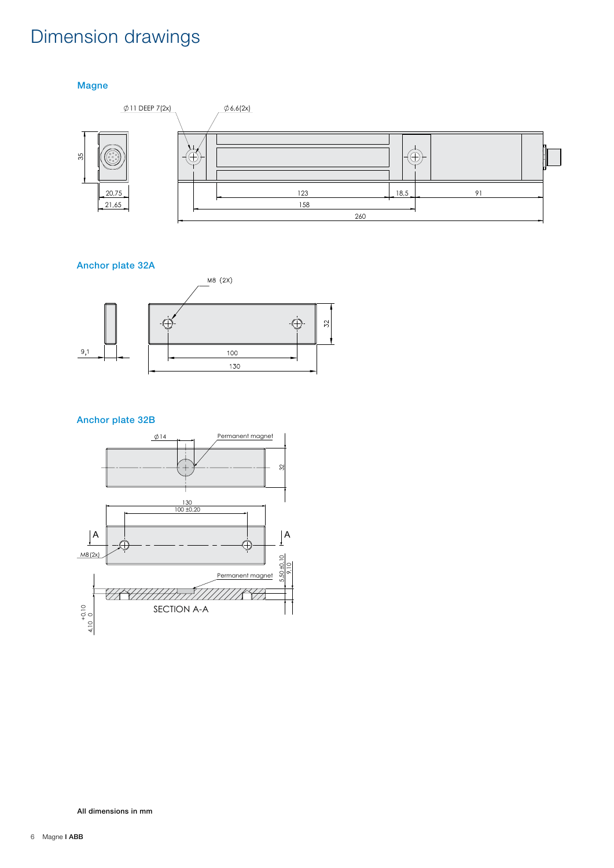# Dimension drawings

Magne



### Anchor plate 32A



### Anchor plate 32B



All dimensions in mm